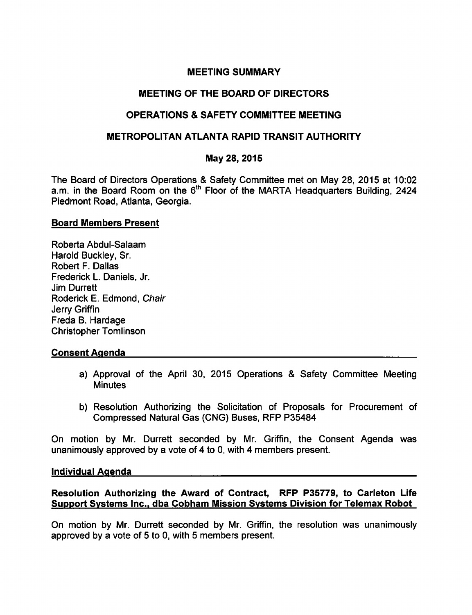# MEETING SUMMARY

# MEETING OF THE BOARD OF DIRECTORS

# OPERATIONS SAFETY COMMITTEE MEETING

# METROPOLITAN ATLANTA RAPID TRANSIT AUTHORITY

# May 28, 2015

The Board of Directors Operations & Safety Committee met on May 28, 2015 at 10:02 a.m. in the Board Room on the  $6<sup>th</sup>$  Floor of the MARTA Headquarters Building, 2424 Piedmont Road, Atlanta, Georgia.

### Board Members Present

Roberta Abdul-Salaam Harold Buckley, Sr. Robert F. Dallas Frederick L. Daniels, Jr. Jim Durrett Roderick E. Edmond, Chair Jerry Griffin Freda B. Hardage Christopher Tomlinson

### Consent Agenda

- a) Approval of the April 30, 2015 Operations & Safety Committee Meeting **Minutes**
- b) Resolution Authorizing the Solicitation of Proposals for Procurement of Compressed Natural Gas (CNG) Buses, RFP P35484

On motion by Mr. Durrett seconded by Mr. Griffin, the Consent Agenda was unanimously approved by a vote of 4 to 0, with 4 members present.

#### Individual Agenda

# Resolution Authorizing the Award of Contract, RFP P35779, to Carleton Life Support Systems Inc., dba Cobham Mission Systems Division for Telemax Robot

On motion by Mr. Durrett seconded by Mr. Griffin, the resolution was unanimously approved by a vote of  $5$  to  $0$ , with  $5$  members present.